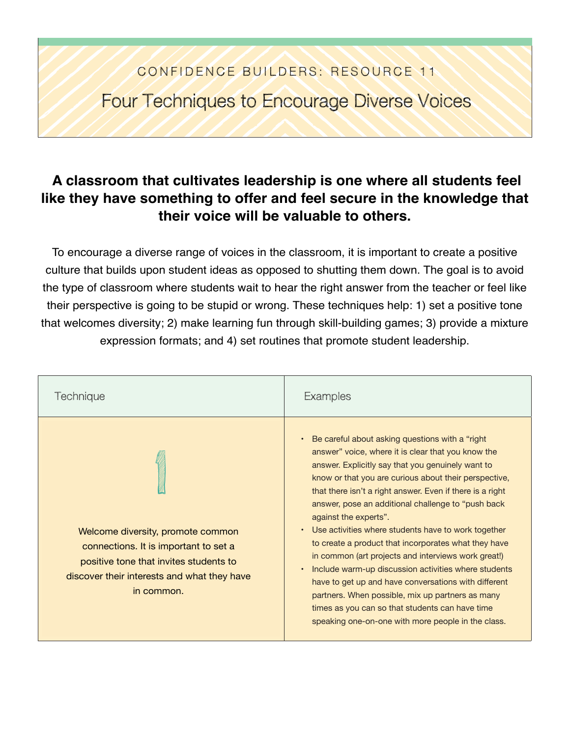## CONFIDENCE BUILDERS: RESOURCE 11

Four Techniques to Encourage Diverse Voices

## **A classroom that cultivates leadership is one where all students feel like they have something to offer and feel secure in the knowledge that their voice will be valuable to others.**

To encourage a diverse range of voices in the classroom, it is important to create a positive culture that builds upon student ideas as opposed to shutting them down. The goal is to avoid the type of classroom where students wait to hear the right answer from the teacher or feel like their perspective is going to be stupid or wrong. These techniques help: 1) set a positive tone that welcomes diversity; 2) make learning fun through skill-building games; 3) provide a mixture expression formats; and 4) set routines that promote student leadership.

| Technique                                                                                                                                                                         | Examples                                                                                                                                                                                                                                                                                                                                                                                                                                                                                                                                                                                                                                                                                                                                                                                                              |
|-----------------------------------------------------------------------------------------------------------------------------------------------------------------------------------|-----------------------------------------------------------------------------------------------------------------------------------------------------------------------------------------------------------------------------------------------------------------------------------------------------------------------------------------------------------------------------------------------------------------------------------------------------------------------------------------------------------------------------------------------------------------------------------------------------------------------------------------------------------------------------------------------------------------------------------------------------------------------------------------------------------------------|
| Welcome diversity, promote common<br>connections. It is important to set a<br>positive tone that invites students to<br>discover their interests and what they have<br>in common. | Be careful about asking questions with a "right<br>answer" voice, where it is clear that you know the<br>answer. Explicitly say that you genuinely want to<br>know or that you are curious about their perspective,<br>that there isn't a right answer. Even if there is a right<br>answer, pose an additional challenge to "push back"<br>against the experts".<br>• Use activities where students have to work together<br>to create a product that incorporates what they have<br>in common (art projects and interviews work great!)<br>Include warm-up discussion activities where students<br>have to get up and have conversations with different<br>partners. When possible, mix up partners as many<br>times as you can so that students can have time<br>speaking one-on-one with more people in the class. |